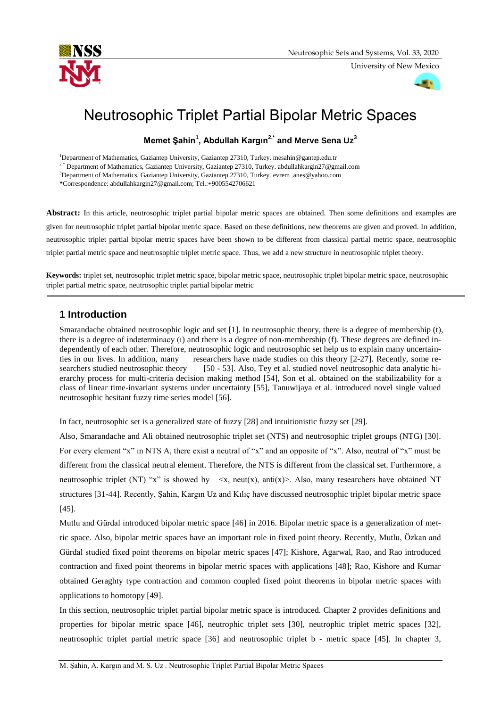

University of New Mexico

-41

# Neutrosophic Triplet Partial Bipolar Metric Spaces

# **Memet Şahin<sup>1</sup> , Abdullah Kargın2,\* and Merve Sena Uz<sup>3</sup>**

<sup>1</sup>Department of Mathematics, Gaziantep University, Gaziantep 27310, Turkey. mesahin@gantep.edu.tr

<sup>2,\*</sup> Department of Mathematics, Gaziantep University, Gaziantep 27310, Turkey. abdullahkargin27@gmail.com

<sup>3</sup>Department of Mathematics, Gaziantep University, Gaziantep 27310, Turkey. evrem\_anes@yahoo.com

**\***Correspondence: abdullahkargin27@gmail.com; Tel.:+9005542706621

**Abstract:** In this article, neutrosophic triplet partial bipolar metric spaces are obtained. Then some definitions and examples are given for neutrosophic triplet partial bipolar metric space. Based on these definitions, new theorems are given and proved. In addition, neutrosophic triplet partial bipolar metric spaces have been shown to be different from classical partial metric space, neutrosophic triplet partial metric space and neutrosophic triplet metric space. Thus, we add a new structure in neutrosophic triplet theory.

**Keywords:** triplet set, neutrosophic triplet metric space, bipolar metric space, neutrosophic triplet bipolar metric space, neutrosophic triplet partial metric space, neutrosophic triplet partial bipolar metric

# **1 Introduction**

Smarandache obtained neutrosophic logic and set [1]. In neutrosophic theory, there is a degree of membership (t), there is a degree of indeterminacy (ı) and there is a degree of non-membership (f). These degrees are defined independently of each other. Therefore, neutrosophic logic and neutrosophic set help us to explain many uncertainties in our lives. In addition, many researchers have made studies on this theory [2-27]. Recently, some re-<br>searchers studied neutrosophic theory [50 - 53]. Also, Tey et al. studied novel neutrosophic data analytic hi-[50 - 53]. Also, Tey et al. studied novel neutrosophic data analytic hierarchy process for multi-criteria decision making method [54], Son et al. obtained on the stabilizability for a class of linear time-invariant systems under uncertainty [55], Tanuwijaya et al. introduced novel single valued neutrosophic hesitant fuzzy time series model [56].

In fact, neutrosophic set is a generalized state of fuzzy [28] and intuitionistic fuzzy set [29].

Also, Smarandache and Ali obtained neutrosophic triplet set (NTS) and neutrosophic triplet groups (NTG) [30]. For every element "x" in NTS A, there exist a neutral of "x" and an opposite of "x". Also, neutral of "x" must be different from the classical neutral element. Therefore, the NTS is different from the classical set. Furthermore, a neutrosophic triplet (NT) "x" is showed by  $\langle x, \text{neut}(x), \text{anti}(x) \rangle$ . Also, many researchers have obtained NT structures [31-44]. Recently, Şahin, Kargın Uz and Kılıç have discussed neutrosophic triplet bipolar metric space [45].

Mutlu and Gürdal introduced bipolar metric space [46] in 2016. Bipolar metric space is a generalization of metric space. Also, bipolar metric spaces have an important role in fixed point theory. Recently, Mutlu, Özkan and Gürdal studied fixed point theorems on bipolar metric spaces [47]; Kishore, Agarwal, Rao, and Rao introduced contraction and fixed point theorems in bipolar metric spaces with applications [48]; Rao, Kishore and Kumar obtained Geraghty type contraction and common coupled fixed point theorems in bipolar metric spaces with applications to homotopy [49].

In this section, neutrosophic triplet partial bipolar metric space is introduced. Chapter 2 provides definitions and properties for bipolar metric space [46], neutrophic triplet sets [30], neutrophic triplet metric spaces [32], neutrosophic triplet partial metric space [36] and neutrosophic triplet b - metric space [45]. In chapter 3,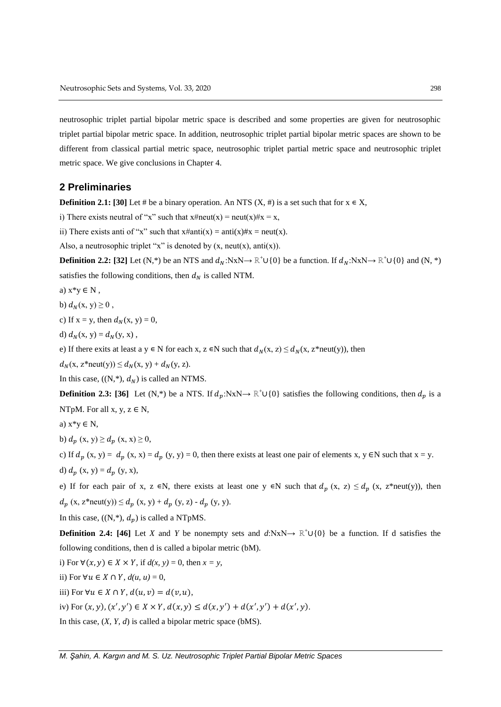neutrosophic triplet partial bipolar metric space is described and some properties are given for neutrosophic triplet partial bipolar metric space. In addition, neutrosophic triplet partial bipolar metric spaces are shown to be different from classical partial metric space, neutrosophic triplet partial metric space and neutrosophic triplet metric space. We give conclusions in Chapter 4.

## **2 Preliminaries**

**Definition 2.1: [30]** Let # be a binary operation. An NTS  $(X, \#)$  is a set such that for  $x \in X$ ,

i) There exists neutral of "x" such that  $x \# \text{neut}(x) = \text{neut}(x) \# x = x$ ,

ii) There exists anti of "x" such that  $x \#$ anti $(x) =$ anti $(x) \# x =$ neut $(x)$ .

Also, a neutrosophic triplet "x" is denoted by  $(x, \text{neut}(x), \text{anti}(x))$ .

**Definition 2.2:** [32] Let (N,\*) be an NTS and  $d_N: NxN \to \mathbb{R}^+ \cup \{0\}$  be a function. If  $d_N: NxN \to \mathbb{R}^+ \cup \{0\}$  and  $(N, *)$ satisfies the following conditions, then  $d_N$  is called NTM.

- a)  $x^*y \in N$ ,
- b)  $d_N(x, y) \geq 0$ ,
- c) If  $x = y$ , then  $d<sub>N</sub>(x, y) = 0$ ,
- d)  $d_N(x, y) = d_N(y, x)$ ,

e) If there exits at least a y  $\in$  N for each x, z  $\in$ N such that  $d_N(x, z) \le d_N(x, z^*$ neut(y)), then

 $d_N(x, z^*neut(y)) \leq d_N(x, y) + d_N(y, z).$ 

In this case,  $((N, *), d_N)$  is called an NTMS.

**Definition 2.3: [36]** Let (N,\*) be a NTS. If  $d_p: NxN \to \mathbb{R}^+ \cup \{0\}$  satisfies the following conditions, then  $d_p$  is a NTpM. For all  $x, y, z \in N$ ,

a)  $x*y \in N$ ,

b)  $d_n(x, y) \geq d_n(x, x) \geq 0$ ,

c) If  $d_p(x, y) = d_p(x, x) = d_p(y, y) = 0$ , then there exists at least one pair of elements x, y ∈N such that x = y.

d)  $d_p(x, y) = d_p(y, x)$ ,

e) If for each pair of x, z  $\in$ N, there exists at least one y  $\in$ N such that  $d_p$  (x, z)  $\leq d_p$  (x, z\*neut(y)), then  $d_p(x, z^*neut(y)) \leq d_p(x, y) + d_p(y, z) - d_p(y, y).$ 

In this case,  $((N, *), d_n)$  is called a NTpMS.

**Definition 2.4: [46]** Let *X* and *Y* be nonempty sets and  $d:\mathbb{N}\times\mathbb{N}\rightarrow\mathbb{R}^+\cup\{0\}$  be a function. If d satisfies the following conditions, then d is called a bipolar metric (bM).

i) For  $\forall (x, y) \in X \times Y$ , if  $d(x, y) = 0$ , then  $x = y$ ,

ii) For  $\forall u \in X \cap Y$ ,  $d(u, u) = 0$ ,

iii) For  $\forall u \in X \cap Y$ ,  $d(u, v) = d(v, u)$ ,

iv) For  $(x, y), (x', y') \in X \times Y, d(x, y) \leq d(x, y') + d(x', y') + d(x', y)$ .

In this case, (*X, Y, d*) is called a bipolar metric space (bMS).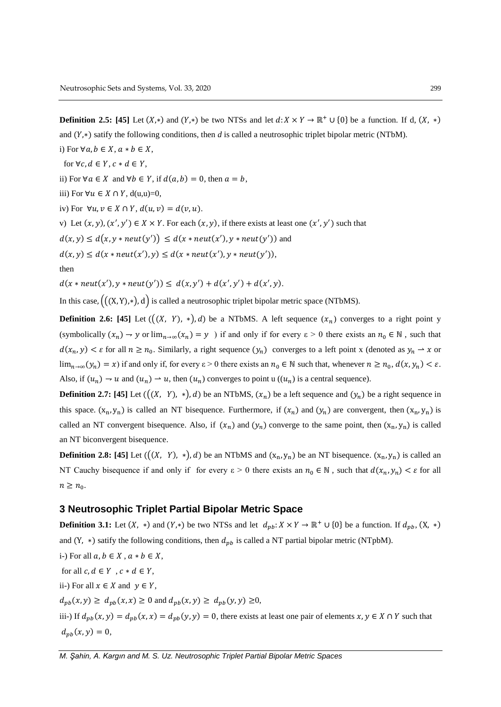**Definition 2.5:** [45] Let  $(X, *)$  and  $(Y, *)$  be two NTSs and let  $d: X \times Y \to \mathbb{R}^+ \cup \{0\}$  be a function. If d, and  $(Y,*)$  satify the following conditions, then *d* is called a neutrosophic triplet bipolar metric (NTbM). i) For  $\forall a, b \in X, a * b \in X$ ,

for  $\forall c, d \in Y$ ,  $c * d \in Y$ ,

ii) For  $\forall a \in X$  and  $\forall b \in Y$ , if  $d(a, b) = 0$ , then  $a = b$ ,

iii) For  $\forall u \in X \cap Y$ , d(u,u)=0,

iv) For  $\forall u, v \in X \cap Y$ ,  $d(u, v) = d(v, u)$ .

v) Let  $(x, y)$ ,  $(x', y') \in X \times Y$ . For each  $(x, y)$ , if there exists at least one  $(x', y')$  such that

 $d(x,y) \leq d(x,y * neut(y')) \leq d(x * neut(x'),y * neut(y'))$  and

 $d(x,y) \leq d(x * neut(x'), y) \leq d(x * neut(x'), y * neut(y')),$ 

then

 $d(x * neut(x'), y * neut(y')) \leq d(x, y') + d(x', y') + d(x', y).$ 

In this case,  $(( (X, Y), *)$ , d) is called a neutrosophic triplet bipolar metric space (NTbMS).

**Definition 2.6:** [45] Let  $((X, Y), *), d$  be a NTbMS. A left sequence  $(x_n)$  converges to a right point y (symbolically  $(x_n) \to y$  or  $\lim_{n\to\infty} (x_n) = y$ ) if and only if for every  $\varepsilon > 0$  there exists an  $n_0 \in \mathbb{N}$ , such that  $d(x_n, y) < \varepsilon$  for all  $n \ge n_0$ . Similarly, a right sequence  $(y_n)$  converges to a left point x (denoted as  $y_n \to x$  or  $\lim_{n\to\infty} (y_n) = x$  if and only if, for every  $\varepsilon > 0$  there exists an  $n_0 \in \mathbb{N}$  such that, whenever  $n \ge n_0$ ,  $d(x, y_n) < \varepsilon$ . Also, if  $(u_n) \to u$  and  $(u_n) \to u$ , then  $(u_n)$  converges to point u  $((u_n)$  is a central sequence).

**Definition 2.7:** [45] Let  $((X, Y), *,), d)$  be an NTbMS,  $(x_n)$  be a left sequence and  $(y_n)$  be a right sequence in this space.  $(x_n, y_n)$  is called an NT bisequence. Furthermore, if  $(x_n)$  and  $(y_n)$  are convergent, then  $(x_n, y_n)$  is called an NT convergent bisequence. Also, if  $(x_n)$  and  $(y_n)$  converge to the same point, then  $(x_n, y_n)$  is called an NT biconvergent bisequence.

**Definition 2.8: [45]** Let  $((X, Y), *,), d$  be an NTbMS and  $(x_n, y_n)$  be an NT bisequence.  $(x_n, y_n)$  is called an NT Cauchy bisequence if and only if for every  $\varepsilon > 0$  there exists an  $n_0 \in \mathbb{N}$ , such that  $d(x_n, y_n) < \varepsilon$  for all  $n \geq n_0$ .

### **3 Neutrosophic Triplet Partial Bipolar Metric Space**

**Definition 3.1:** Let  $(X, *)$  and  $(Y, *)$  be two NTSs and let  $d_{pb} : X \times Y \to \mathbb{R}^+ \cup \{0\}$  be a function. If  $d_{pb}$ , and (Y,  $*$ ) satify the following conditions, then  $d_{pb}$  is called a NT partial bipolar metric (NTpbM).

i-) For all  $a, b \in X$ ,  $a * b \in X$ , for all  $c, d \in Y$ ,  $c * d \in Y$ , ii-) For all  $x \in X$  and  $y \in Y$ ,  $d_{pb}(x, y) \geq d_{pb}(x, x) \geq 0$  and  $d_{pb}(x, y) \geq d_{pb}(y, y) \geq 0$ , iii-) If  $d_{pb}(x, y) = d_{pb}(x, x) = d_{pb}(y, y) = 0$ , there exists at least one pair of elements  $x, y \in X \cap Y$  such that  $d_{pb}(x, y) = 0,$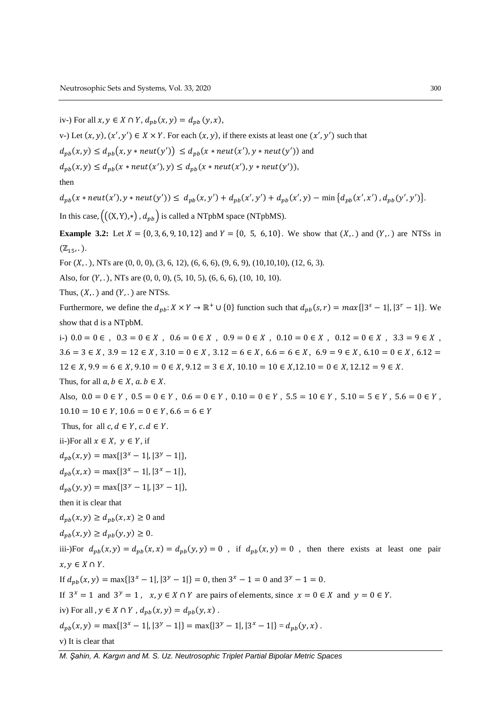*M. Şahin, A. Kargın and M. S. Uz. Neutrosophic Triplet Partial Bipolar Metric Spaces* iv-) For all  $x, y \in X \cap Y$ ,  $d_{pb}(x, y) = d_{pb}(y, x)$ , v-) Let  $(x, y)$ ,  $(x', y') \in X \times Y$ . For each  $(x, y)$ , if there exists at least one  $(x', y')$  such that  $d_{pb}(x, y) \leq d_{pb}(x, y * neut(y')) \leq d_{pb}(x * neut(x'), y * neut(y'))$  and  $d_{pb}(x, y) \leq d_{pb}(x * neut(x'), y) \leq d_{pb}(x * neut(x'), y * neut(y')),$ then  $d_{pb}(x * neut(x'), y * neut(y')) \leq d_{pb}(x, y') + d_{pb}(x', y') + d_{pb}(x', y) - \min\{d_{pb}(x', x'), d_{pb}(y', y')\}.$ In this case,  $((X, Y), \ast)$ ,  $d_{pb}$  is called a NTpbM space (NTpbMS). **Example 3.2:** Let  $X = \{0, 3, 6, 9, 10, 12\}$  and  $Y = \{0, 5, 6, 10\}$ . We show that  $(X, .)$  and  $(Y, .)$  are NTSs in  $(\mathbb{Z}_{15}, .).$ For  $(X, .)$ , NTs are  $(0, 0, 0)$ ,  $(3, 6, 12)$ ,  $(6, 6, 6)$ ,  $(9, 6, 9)$ ,  $(10, 10, 10)$ ,  $(12, 6, 3)$ . Also, for  $(Y, .)$ , NTs are  $(0, 0, 0)$ ,  $(5, 10, 5)$ ,  $(6, 6, 6)$ ,  $(10, 10, 10)$ . Thus,  $(X, .)$  and  $(Y, .)$  are NTSs. Furthermore, we define the  $d_{pb}$ :  $X \times Y \to \mathbb{R}^+ \cup \{0\}$  function such that  $d_{pb}(s,r) = max\{|3^s - 1|, |3^r - 1|\}$ . We show that d is a NTpbM. i-) 0.0 = 0 ∈ , 0.3 = 0 ∈ X , 0.6 = 0 ∈ X , 0.9 = 0 ∈ X , 0.10 = 0 ∈ X , 0.12 = 0 ∈ X , 3.3 = 9 ∈ X ,  $3.6 = 3 \in X$ ,  $3.9 = 12 \in X$ ,  $3.10 = 0 \in X$ ,  $3.12 = 6 \in X$ ,  $6.6 = 6 \in X$ ,  $6.9 = 9 \in X$ ,  $6.10 = 0 \in X$ ,  $6.12 = 0$  $12 \in X$ ,  $9.9 = 6 \in X$ ,  $9.10 = 0 \in X$ ,  $9.12 = 3 \in X$ ,  $10.10 = 10 \in X$ ,  $12.10 = 0 \in X$ ,  $12.12 = 9 \in X$ . Thus, for all  $a, b \in X$ ,  $a, b \in X$ . Also,  $0.0 = 0 \in Y$ ,  $0.5 = 0 \in Y$ ,  $0.6 = 0 \in Y$ ,  $0.10 = 0 \in Y$ ,  $5.5 = 10 \in Y$ ,  $5.10 = 5 \in Y$ ,  $5.6 = 0 \in Y$ ,  $10.10 = 10 \in Y$ ,  $10.6 = 0 \in Y$ ,  $6.6 = 6 \in Y$ Thus, for all  $c, d \in Y$ ,  $c, d \in Y$ . ii-)For all  $x \in X$ ,  $y \in Y$ , if  $d_{pb}(x, y) = \max\{|3^x - 1|, |3^y - 1|\},$  $d_{pb}(x, x) = \max\{|3^x - 1|, |3^x - 1|\},$  $d_{pb}(y, y) = \max\{|3^y - 1|, |3^y - 1|\},$ then it is clear that  $d_{nb}(x, y) \geq d_{nb}(x, x) \geq 0$  and  $d_{pb}(x, y) \geq d_{pb}(y, y) \geq 0.$ iii-)For  $d_{pb}(x, y) = d_{pb}(x, x) = d_{pb}(y, y) = 0$ , if  $d_{pb}(x, y) = 0$ , then there exists at least one pair  $x, y \in X \cap Y$ . If  $d_{pb}(x, y) = \max\{|3^x - 1|, |3^y - 1|\} = 0$ , then  $3^x - 1 = 0$  and  $3^y - 1 = 0$ . If  $3^x = 1$  and  $3^y = 1$ ,  $x, y \in X \cap Y$  are pairs of elements, since  $x = 0 \in X$  and  $y = 0 \in Y$ . iv) For all ,  $y \in X \cap Y$ ,  $d_{pb}(x, y) = d_{pb}(y, x)$ .  $d_{pb}(x, y) = \max\{|3^x - 1|, |3^y - 1|\} = \max\{|3^y - 1|, |3^x - 1|\} = d_{pb}(y, x)$ . v) It is clear that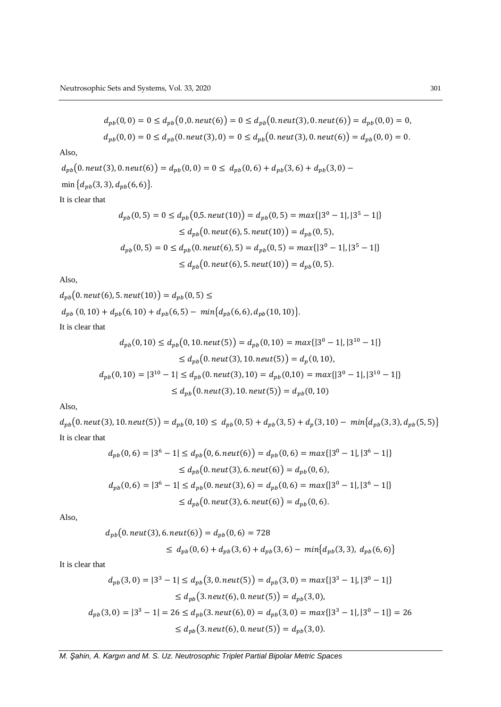$$
d_{pb}(0,0) = 0 \le d_{pb}(0,0.neut(6)) = 0 \le d_{pb}(0.neut(3),0.neut(6)) = d_{pb}(0,0) = 0,
$$
  

$$
d_{pb}(0,0) = 0 \le d_{pb}(0.neut(3),0) = 0 \le d_{pb}(0.neut(3),0.neut(6)) = d_{pb}(0,0) = 0.
$$

$$
d_{pb}(0.\text{neut}(3), 0.\text{neut}(6)) = d_{pb}(0, 0) = 0 \le d_{pb}(0, 6) + d_{pb}(3, 6) + d_{pb}(3, 0) - \min\{d_{pb}(3, 3), d_{pb}(6, 6)\}.
$$

It is clear that

$$
d_{pb}(0,5) = 0 \le d_{pb}(0,5. \text{neut}(10)) = d_{pb}(0,5) = \max\{|3^0 - 1|, |3^5 - 1|\}
$$
  
\n
$$
\le d_{pb}(0.\text{neut}(6), 5.\text{neut}(10)) = d_{pb}(0,5),
$$
  
\n
$$
d_{pb}(0,5) = 0 \le d_{pb}(0.\text{neut}(6), 5) = d_{pb}(0,5) = \max\{|3^0 - 1|, |3^5 - 1|\}
$$
  
\n
$$
\le d_{pb}(0.\text{neut}(6), 5.\text{neut}(10)) = d_{pb}(0,5).
$$

Also,

 $d_{pb}(0.\text{neut}(6), 5.\text{neut}(10)) = d_{pb}(0, 5) \leq$  $d_{pb}(0, 10) + d_{pb}(6, 10) + d_{pb}(6, 5) - min\{d_{pb}(6, 6), d_{pb}(10, 10)\}.$ It is clear that

$$
d_{pb}(0, 10) \le d_{pb}(0, 10. neut(5)) = d_{pb}(0, 10) = max\{|3^0 - 1|, |3^{10} - 1|\}
$$
  
\n
$$
\le d_{pb}(0. neut(3), 10. neut(5)) = d_p(0, 10),
$$
  
\n
$$
d_{pb}(0, 10) = |3^{10} - 1| \le d_{pb}(0. neut(3), 10) = d_{pb}(0, 10) = max\{|3^0 - 1|, |3^{10} - 1|\}
$$
  
\n
$$
\le d_{pb}(0. neut(3), 10. neut(5)) = d_{pb}(0, 10)
$$

Also,

 $d_{pb}(0.\text{neut}(3), 10.\text{neut}(5)) = d_{pb}(0, 10) \leq d_{pb}(0, 5) + d_{pb}(3, 5) + d_p(3, 10) - \min\{d_{pb}(3, 3), d_{pb}(5, 5)\}$ It is clear that

$$
d_{pb}(0,6) = |3^6 - 1| \le d_{pb}(0, 6. \text{neut}(6)) = d_{pb}(0, 6) = \max\{|3^0 - 1|, |3^6 - 1|\}
$$
  
\n
$$
\le d_{pb}(0.\text{neut}(3), 6.\text{neut}(6)) = d_{pb}(0, 6),
$$
  
\n
$$
d_{pb}(0,6) = |3^6 - 1| \le d_{pb}(0.\text{neut}(3), 6) = d_{pb}(0, 6) = \max\{|3^0 - 1|, |3^6 - 1|\}
$$
  
\n
$$
\le d_{pb}(0.\text{neut}(3), 6.\text{neut}(6)) = d_{pb}(0, 6).
$$

Also,

$$
d_{pb}(0.next(3), 6.next(6)) = d_{pb}(0, 6) = 728
$$
  
 
$$
\leq d_{pb}(0, 6) + d_{pb}(3, 6) + d_{pb}(3, 6) - min\{d_{pb}(3, 3), d_{pb}(6, 6)\}
$$

It is clear that

$$
d_{pb}(3,0) = |3^3 - 1| \le d_{pb}(3, 0. \text{neut}(5)) = d_{pb}(3, 0) = \max\{|3^3 - 1|, |3^0 - 1|\}
$$
  
\n
$$
\le d_{pb}(3.\text{neut}(6), 0.\text{neut}(5)) = d_{pb}(3, 0),
$$
  
\n
$$
d_{pb}(3,0) = |3^3 - 1| = 26 \le d_{pb}(3.\text{neut}(6), 0) = d_{pb}(3, 0) = \max\{|3^3 - 1|, |3^0 - 1|\} = 26
$$
  
\n
$$
\le d_{pb}(3.\text{neut}(6), 0.\text{neut}(5)) = d_{pb}(3, 0).
$$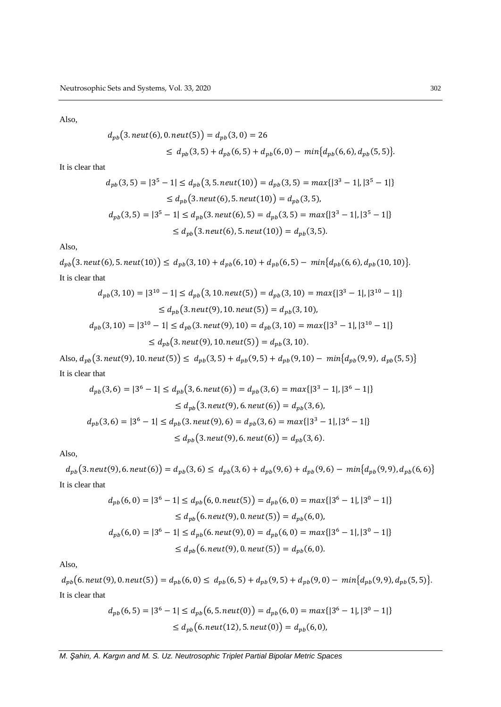$$
d_{pb}(3.neut(6), 0.neut(5)) = d_{pb}(3, 0) = 26
$$
  
 
$$
\leq d_{pb}(3, 5) + d_{pb}(6, 5) + d_{pb}(6, 0) - min\{d_{pb}(6, 6), d_{pb}(5, 5)\}.
$$

It is clear that

$$
d_{pb}(3,5) = |3^5 - 1| \le d_{pb}(3,5. \text{neut}(10)) = d_{pb}(3,5) = \max\{|3^3 - 1|, |3^5 - 1|\}
$$
  
\n
$$
\le d_{pb}(3.\text{neut}(6), 5.\text{neut}(10)) = d_{pb}(3,5),
$$
  
\n
$$
d_{pb}(3,5) = |3^5 - 1| \le d_{pb}(3.\text{neut}(6), 5) = d_{pb}(3,5) = \max\{|3^3 - 1|, |3^5 - 1|\}
$$
  
\n
$$
\le d_{pb}(3.\text{neut}(6), 5.\text{neut}(10)) = d_{pb}(3,5).
$$

Also,

 $d_{pb}(3.neut(6), 5.neut(10)) \leq d_{pb}(3, 10) + d_{pb}(6, 10) + d_{pb}(6, 5) - min\{d_{pb}(6, 6), d_{pb}(10, 10)\}.$ It is clear that

$$
d_{pb}(3,10) = |3^{10} - 1| \le d_{pb}(3,10.next(5)) = d_{pb}(3,10) = max\{|3^3 - 1|, |3^{10} - 1|\}
$$
  
\n
$$
\le d_{pb}(3.next(9), 10.next(5)) = d_{pb}(3,10),
$$
  
\n
$$
d_{pb}(3,10) = |3^{10} - 1| \le d_{pb}(3.next(9), 10) = d_{pb}(3,10) = max\{|3^3 - 1|, |3^{10} - 1|\}
$$
  
\n
$$
\le d_{pb}(3.next(9), 10.next(5)) = d_{pb}(3,10).
$$

Also,  $d_{pb}(3. \textit{neut}(9), 10. \textit{neut}(5)) \leq d_{pb}(3, 5) + d_{pb}(9, 5) + d_{pb}(9, 10) - \min\{d_{pb}(9, 9), d_{pb}(5, 5)\}\$ It is clear that

$$
d_{pb}(3,6) = |3^6 - 1| \le d_{pb}(3,6. \operatorname{neut}(6)) = d_{pb}(3,6) = \max\{|3^3 - 1|, |3^6 - 1|\}
$$
  
\n
$$
\le d_{pb}(3. \operatorname{neut}(9), 6. \operatorname{neut}(6)) = d_{pb}(3,6),
$$
  
\n
$$
d_{pb}(3,6) = |3^6 - 1| \le d_{pb}(3. \operatorname{neut}(9), 6) = d_{pb}(3,6) = \max\{|3^3 - 1|, |3^6 - 1|\}
$$
  
\n
$$
\le d_{pb}(3. \operatorname{neut}(9), 6. \operatorname{neut}(6)) = d_{pb}(3,6).
$$

Also,

 $d_{pb}(3.neut(9), 6.neut(6)) = d_{pb}(3, 6) \leq d_{pb}(3, 6) + d_{pb}(9, 6) + d_{pb}(9, 6) - min\{d_{pb}(9, 9), d_{pb}(6, 6)\}$ It is clear that

$$
d_{pb}(6,0) = |3^6 - 1| \le d_{pb}(6, 0. \text{neut}(5)) = d_{pb}(6, 0) = \max\{|3^6 - 1|, |3^0 - 1|\}
$$
  
\n
$$
\le d_{pb}(6. \text{neut}(9), 0. \text{neut}(5)) = d_{pb}(6, 0),
$$
  
\n
$$
d_{pb}(6,0) = |3^6 - 1| \le d_{pb}(6. \text{neut}(9), 0) = d_{pb}(6, 0) = \max\{|3^6 - 1|, |3^0 - 1|\}
$$
  
\n
$$
\le d_{pb}(6. \text{neut}(9), 0. \text{neut}(5)) = d_{pb}(6, 0).
$$

Also,

 $d_{pb}(6. neut(9), 0. neut(5)) = d_{pb}(6, 0) \leq d_{pb}(6, 5) + d_{pb}(9, 5) + d_{pb}(9, 0) - min\{d_{pb}(9, 9), d_{pb}(5, 5)\}.$ It is clear that

$$
d_{pb}(6,5) = |3^6 - 1| \le d_{pb}(6, 5. \text{neut}(0)) = d_{pb}(6, 0) = \max\{|3^6 - 1|, |3^0 - 1|\}
$$
  
 
$$
\le d_{pb}(6. \text{neut}(12), 5. \text{neut}(0)) = d_{pb}(6, 0),
$$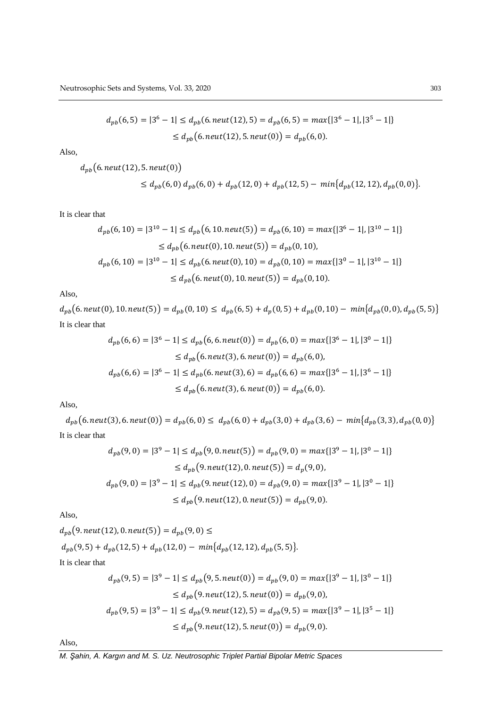$$
d_{pb}(6,5) = |3^6 - 1| \le d_{pb}(6. \text{neut}(12), 5) = d_{pb}(6,5) = \max\{|3^6 - 1|, |3^5 - 1|\}
$$
  
 
$$
\le d_{pb}(6. \text{neut}(12), 5. \text{neut}(0)) = d_{pb}(6,0).
$$

$$
d_{pb}(6. \text{neut}(12), 5. \text{neut}(0))
$$
  
 
$$
\leq d_{pb}(6,0) d_{pb}(6,0) + d_{pb}(12,0) + d_{pb}(12,5) - \min\{d_{pb}(12,12), d_{pb}(0,0)\}.
$$

It is clear that

$$
d_{pb}(6, 10) = |3^{10} - 1| \le d_{pb}(6, 10. neut(5)) = d_{pb}(6, 10) = max\{|3^6 - 1|, |3^{10} - 1|\}
$$
  
\n
$$
\le d_{pb}(6. neut(0), 10. neut(5)) = d_{pb}(0, 10),
$$
  
\n
$$
d_{pb}(6, 10) = |3^{10} - 1| \le d_{pb}(6. neut(0), 10) = d_{pb}(0, 10) = max\{|3^0 - 1|, |3^{10} - 1|\}
$$
  
\n
$$
\le d_{pb}(6. neut(0), 10. neut(5)) = d_{pb}(0, 10).
$$

Also,

 $d_{pb}(6.$  neut(0), 10. neut(5) =  $d_{pb}(0, 10) \leq d_{pb}(6, 5) + d_p(0, 5) + d_{pb}(0, 10) - min\{d_{pb}(0, 0), d_{pb}(5, 5)\}$ It is clear that

$$
d_{pb}(6,6) = |3^6 - 1| \le d_{pb}(6, 6. neut(0)) = d_{pb}(6, 0) = max\{|3^6 - 1|, |3^0 - 1|\}
$$
  
\n
$$
\le d_{pb}(6. neut(3), 6. neut(0)) = d_{pb}(6, 0),
$$
  
\n
$$
d_{pb}(6,6) = |3^6 - 1| \le d_{pb}(6. neut(3), 6) = d_{pb}(6, 6) = max\{|3^6 - 1|, |3^6 - 1|\}
$$
  
\n
$$
\le d_{pb}(6. neut(3), 6. neut(0)) = d_{pb}(6, 0).
$$

Also,

 $d_{pb}(6. neut(3), 6. neut(0)) = d_{pb}(6,0) \leq d_{pb}(6,0) + d_{pb}(3,0) + d_{pb}(3,6) - min\{d_{pb}(3,3), d_{pb}(0,0)\}$ It is clear that

$$
d_{pb}(9,0) = |3^9 - 1| \le d_{pb}(9, 0. \text{neut}(5)) = d_{pb}(9, 0) = \max\{|3^9 - 1|, |3^0 - 1|\}
$$
  
\n
$$
\le d_{pb}(9. \text{neut}(12), 0. \text{neut}(5)) = d_p(9, 0),
$$
  
\n
$$
d_{pb}(9,0) = |3^9 - 1| \le d_{pb}(9. \text{neut}(12), 0) = d_{pb}(9, 0) = \max\{|3^9 - 1|, |3^0 - 1|\}
$$
  
\n
$$
\le d_{pb}(9. \text{neut}(12), 0. \text{neut}(5)) = d_{pb}(9, 0).
$$

Also,

$$
d_{pb}(9. \text{neut}(12), 0. \text{neut}(5)) = d_{pb}(9, 0) \le
$$
  
\n
$$
d_{pb}(9, 5) + d_{pb}(12, 5) + d_{pb}(12, 0) - \min\{d_{pb}(12, 12), d_{pb}(5, 5)\}.
$$
  
\nIt is clear that

$$
d_{pb}(9,5) = |3^9 - 1| \le d_{pb}(9,5. \text{neut}(0)) = d_{pb}(9,0) = \max\{|3^9 - 1|, |3^0 - 1|\}
$$
  
\n
$$
\le d_{pb}(9.\text{neut}(12), 5.\text{neut}(0)) = d_{pb}(9,0),
$$
  
\n
$$
d_{pb}(9,5) = |3^9 - 1| \le d_{pb}(9.\text{neut}(12), 5) = d_{pb}(9,5) = \max\{|3^9 - 1|, |3^5 - 1|\}
$$
  
\n
$$
\le d_{pb}(9.\text{neut}(12), 5.\text{neut}(0)) = d_{pb}(9,0).
$$

Also,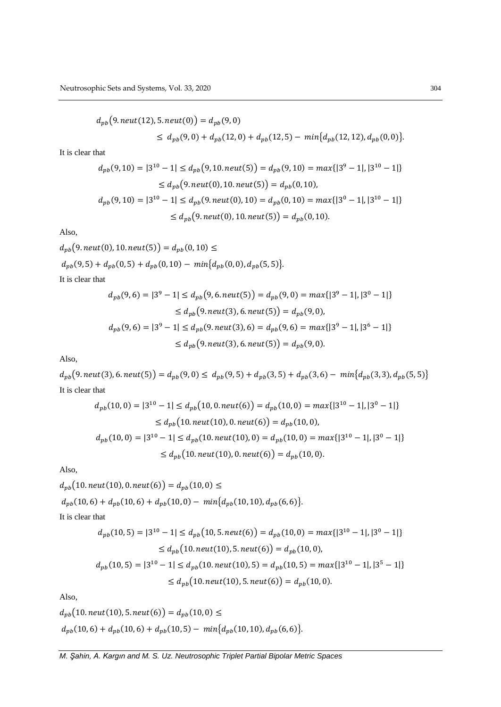$$
d_{pb}(9. \text{neut}(12), 5. \text{neut}(0)) = d_{pb}(9, 0)
$$
  
\n
$$
\leq d_{pb}(9, 0) + d_{pb}(12, 0) + d_{pb}(12, 5) - \min\{d_{pb}(12, 12), d_{pb}(0, 0)\}.
$$

It is clear that

$$
d_{pb}(9, 10) = |3^{10} - 1| \le d_{pb}(9, 10. \text{neut}(5)) = d_{pb}(9, 10) = \max\{|3^9 - 1|, |3^{10} - 1|\}
$$
  
\n
$$
\le d_{pb}(9. \text{neut}(0), 10. \text{neut}(5)) = d_{pb}(0, 10),
$$
  
\n
$$
d_{pb}(9, 10) = |3^{10} - 1| \le d_{pb}(9. \text{neut}(0), 10) = d_{pb}(0, 10) = \max\{|3^0 - 1|, |3^{10} - 1|\}
$$
  
\n
$$
\le d_{pb}(9. \text{neut}(0), 10. \text{neut}(5)) = d_{pb}(0, 10).
$$

Also,

 $d_{pb}(9. \textit{neut}(0), 10. \textit{neut}(5)) = d_{pb}(0, 10) \leq$  $d_{pb}(9,5) + d_{pb}(0,5) + d_{pb}(0,10) - min\{d_{pb}(0,0), d_{pb}(5,5)\}.$ It is clear that

 $d_{pb}(9,6) = |3^9 - 1| \leq d_{pb}(9,6 \cdot \text{neut}(5)) = d_{pb}(9,0) = \max\{|3^9 - 1|, |3^0 - 1|\}$ 

$$
\leq d_{pb}(9. \text{neut}(3), 6. \text{neut}(5)) = d_{pb}(9, 0),
$$
\n
$$
d_{pb}(9, 6) = |3^9 - 1| \leq d_{pb}(9. \text{neut}(3), 6) = d_{pb}(9, 6) = \max\{|3^9 - 1|, |3^6 - 1|\}
$$
\n
$$
\leq d_{pb}(9. \text{neut}(3), 6. \text{neut}(5)) = d_{pb}(9, 0).
$$

Also,

 $d_{pb}(9.neut(3), 6.neut(5)) = d_{pb}(9,0) \leq d_{pb}(9,5) + d_{pb}(3,5) + d_{pb}(3,6) - min\{d_{pb}(3,3), d_{pb}(5,5)\}$ It is clear that

$$
d_{pb}(10,0) = |3^{10} - 1| \le d_{pb}(10,0.neut(6)) = d_{pb}(10,0) = max\{|3^{10} - 1|, |3^{0} - 1|\}
$$
  
\n
$$
\le d_{pb}(10.neut(10),0.neut(6)) = d_{pb}(10,0),
$$
  
\n
$$
d_{pb}(10,0) = |3^{10} - 1| \le d_{pb}(10.neut(10),0) = d_{pb}(10,0) = max\{|3^{10} - 1|, |3^{0} - 1|\}
$$
  
\n
$$
\le d_{pb}(10.neut(10),0.neut(6)) = d_{pb}(10,0).
$$

Also,

 $d_{pb}(10.neut(10), 0.neut(6)) = d_{pb}(10, 0) \leq$ 

$$
d_{pb}(10,6) + d_{pb}(10,6) + d_{pb}(10,0) - min\{d_{pb}(10,10), d_{pb}(6,6)\}.
$$

It is clear that

$$
d_{pb}(10,5) = |3^{10} - 1| \le d_{pb}(10,5. \text{neut}(6)) = d_{pb}(10,0) = \max\{|3^{10} - 1|, |3^{0} - 1|\}
$$
  
\n
$$
\le d_{pb}(10.\text{neut}(10), 5.\text{neut}(6)) = d_{pb}(10,0),
$$
  
\n
$$
d_{pb}(10,5) = |3^{10} - 1| \le d_{pb}(10.\text{neut}(10), 5) = d_{pb}(10,5) = \max\{|3^{10} - 1|, |3^{5} - 1|\}
$$
  
\n
$$
\le d_{pb}(10.\text{neut}(10), 5.\text{neut}(6)) = d_{pb}(10,0).
$$

Also,

$$
d_{pb}(10.next(10), 5.next(6)) = d_{pb}(10, 0) \le
$$
  

$$
d_{pb}(10, 6) + d_{pb}(10, 6) + d_{pb}(10, 5) - min\{d_{pb}(10, 10), d_{pb}(6, 6)\}.
$$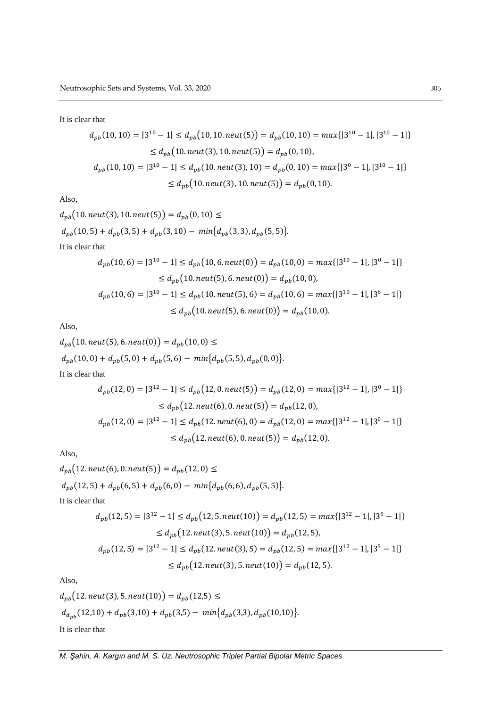It is clear that

$$
d_{pb}(10, 10) = |3^{10} - 1| \le d_{pb}(10, 10. \text{neut}(5)) = d_{pb}(10, 10) = \max\{|3^{10} - 1|, |3^{10} - 1|\}
$$
  
\n
$$
\le d_{pb}(10. \text{neut}(3), 10. \text{neut}(5)) = d_{pb}(0, 10),
$$
  
\n
$$
d_{pb}(10, 10) = |3^{10} - 1| \le d_{pb}(10. \text{neut}(3), 10) = d_{pb}(0, 10) = \max\{|3^{0} - 1|, |3^{10} - 1|\}
$$
  
\n
$$
\le d_{pb}(10. \text{neut}(3), 10. \text{neut}(5)) = d_{pb}(0, 10).
$$

Also,

$$
d_{pb}(10.next(3), 10.next(5)) = d_{pb}(0, 10) \le
$$
  
\n
$$
d_{pb}(10, 5) + d_{pb}(3, 5) + d_{pb}(3, 10) - min\{d_{pb}(3, 3), d_{pb}(5, 5)\}.
$$
  
\nIt is clear that  
\n
$$
d_{pb}(10, 6) = |3^{10} - 1| \le d_{pb}(10, 6.next(0)) = d_{pb}(10, 0) = max\{|3^{10} - 1|, |3^{0} - 1|\}
$$
  
\n
$$
\le d_{pb}(10.next(5), 6.next(0)) = d_{pb}(10, 0),
$$

$$
d_{pb}(10,6) = |3^{10} - 1| \le d_{pb}(10.neut(5), 6) = d_{pb}(10, 6) = max\{|3^{10} - 1|, |3^6 - 1|\}
$$
  
 
$$
\le d_{pb}(10.neut(5), 6.neut(0)) = d_{pb}(10, 0).
$$

Also,

$$
d_{pb}(10.neut(5), 6.neut(0)) = d_{pb}(10, 0) \le
$$
  
\n
$$
d_{pb}(10, 0) + d_{pb}(5, 0) + d_{pb}(5, 6) - min\{d_{pb}(5, 5), d_{pb}(0, 0)\}.
$$
  
\nIt is clear that  
\n
$$
d_{pb}(12, 0) = |3^{12} - 1| \leq d_{pb}(12, 0.neut(5)) = d_{pb}(12, 0) = max\{|3^{12} - 1|, |3^{0} - 1|\}
$$

$$
\leq d_{pb}(12, \text{neut}(6), 0.\text{neut}(5)) = d_{pb}(12, 0),
$$
\n
$$
d_{pb}(12, 0) = |3^{12} - 1| \leq d_{pb}(12. \text{neut}(6), 0) = d_{pb}(12, 0) = \max\{|3^{12} - 1|, |3^0 - 1|\}
$$
\n
$$
\leq d_{pb}(12. \text{neut}(6), 0.\text{neut}(5)) = d_{pb}(12, 0).
$$

Also,

$$
d_{pb}(12.next(6), 0.next(5)) = d_{pb}(12, 0) \le
$$
  
\n
$$
d_{pb}(12, 5) + d_{pb}(6, 5) + d_{pb}(6, 0) - min\{d_{pb}(6, 6), d_{pb}(5, 5)\}.
$$
  
\nIt is clear that  
\n
$$
d_{pb}(12, 5) = |3^{12} - 1| \le d_{pb}(12, 5.next(10)) = d_{pb}(12, 5) = max\{|3^{12} - 1|, |3^{5} - 1|\}
$$
  
\n
$$
\le d_{pb}(12.next(3), 5.next(10)) = d_{pb}(12, 5),
$$
  
\n
$$
d_{pb}(12, 5) = |3^{12} - 1| \le d_{pb}(12.next(3), 5) = d_{pb}(12, 5) = max\{|3^{12} - 1|, |3^{5} - 1|\}
$$
  
\n
$$
\le d_{pb}(12.next(3), 5.next(10)) = d_{pb}(12, 5).
$$

Also,

$$
d_{pb}(12.next(3), 5.next(10)) = d_{pb}(12,5) \le
$$
  

$$
d_{dpb}(12,10) + d_{pb}(3,10) + d_{pb}(3,5) - min\{d_{pb}(3,3), d_{pb}(10,10)\}.
$$
  
It is clear that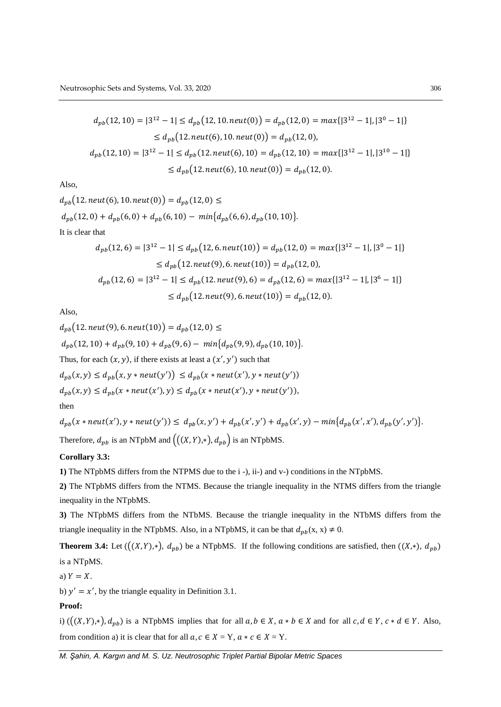$$
d_{pb}(12, 10) = |3^{12} - 1| \le d_{pb}(12, 10. \text{neut}(0)) = d_{pb}(12, 0) = \max\{|3^{12} - 1|, |3^0 - 1|\}
$$
  
\n
$$
\le d_{pb}(12. \text{neut}(6), 10. \text{neut}(0)) = d_{pb}(12, 0),
$$
  
\n
$$
d_{pb}(12, 10) = |3^{12} - 1| \le d_{pb}(12. \text{neut}(6), 10) = d_{pb}(12, 10) = \max\{|3^{12} - 1|, |3^{10} - 1|\}
$$
  
\n
$$
\le d_{pb}(12. \text{neut}(6), 10. \text{neut}(0)) = d_{pb}(12, 0).
$$

$$
d_{pb}(12. neut(6), 10. neut(0)) = d_{pb}(12, 0) \le
$$
  
\n
$$
d_{pb}(12, 0) + d_{pb}(6, 0) + d_{pb}(6, 10) - min\{d_{pb}(6, 6), d_{pb}(10, 10)\}.
$$
  
\nIt is clear that  
\n
$$
d_{pb}(12, 6) = |3^{12} - 1| \le d_{pb}(12, 6. neut(10)) = d_{pb}(12, 0) = max\{|3^{12} - 1|, |3^{0} - 1|\} \le d_{pb}(12. neut(9), 6. neut(10)) = d_{pb}(12, 0),
$$
  
\n
$$
d_{pb}(12, 6) = |3^{12} - 1| \le d_{pb}(12. neut(9), 6) = d_{pb}(12, 6) = max\{|3^{12} - 1|, |3^{6} - 1|\} \le d_{pb}(12. neut(9), 6. neut(10)) = d_{pb}(12, 0).
$$

Also,

$$
d_{pb}(12. \text{neut}(9), 6. \text{neut}(10)) = d_{pb}(12, 0) \le
$$
  
\n
$$
d_{pb}(12, 10) + d_{pb}(9, 10) + d_{pb}(9, 6) - \min\{d_{pb}(9, 9), d_{pb}(10, 10)\}.
$$
  
\nThus, for each  $(x, y)$ , if there exists at least a  $(x', y')$  such that  
\n
$$
d_{pb}(x, y) \leq d_{pb}(x, y * \text{neut}(y')) \leq d_{pb}(x * \text{neut}(x'), y * \text{neut}(y'))
$$
  
\n
$$
d_{pb}(x, y) \leq d_{pb}(x * \text{neut}(x'), y) \leq d_{pb}(x * \text{neut}(x'), y * \text{neut}(y')),
$$
  
\nthen

 $d_{pb}(x * neut(x'), y * neut(y')) \leq d_{pb}(x, y') + d_{pb}(x', y') + d_{pb}(x', y) - min\{d_{pb}(x', x'), d_{pb}(y', y')\}.$ Therefore,  $d_{pb}$  is an NTpbM and  $((X, Y), *, d_{pb})$  is an NTpbMS.

#### **Corollary 3.3:**

**1)** The NTpbMS differs from the NTPMS due to the i -), ii-) and v-) conditions in the NTpbMS.

**2)** The NTpbMS differs from the NTMS. Because the triangle inequality in the NTMS differs from the triangle inequality in the NTpbMS.

**3)** The NTpbMS differs from the NTbMS. Because the triangle inequality in the NTbMS differs from the triangle inequality in the NTpbMS. Also, in a NTpbMS, it can be that  $d_{pb}(x, x) \neq 0$ .

**Theorem 3.4:** Let  $((X,Y),*)$ ,  $d_{pb}$ ) be a NTpbMS. If the following conditions are satisfied, then  $((X,*)$ ,  $d_{pb}$ ) is a NTpMS.

a)  $Y = X$ .

b)  $y' = x'$ , by the triangle equality in Definition 3.1.

#### **Proof:**

i)  $(((X, Y), *,), d_{pb})$  is a NTpbMS implies that for all  $a, b \in X$ ,  $a * b \in X$  and for all  $c, d \in Y$ ,  $c * d \in Y$ . Also, from condition a) it is clear that for all  $a, c \in X = Y$ ,  $a * c \in X = Y$ .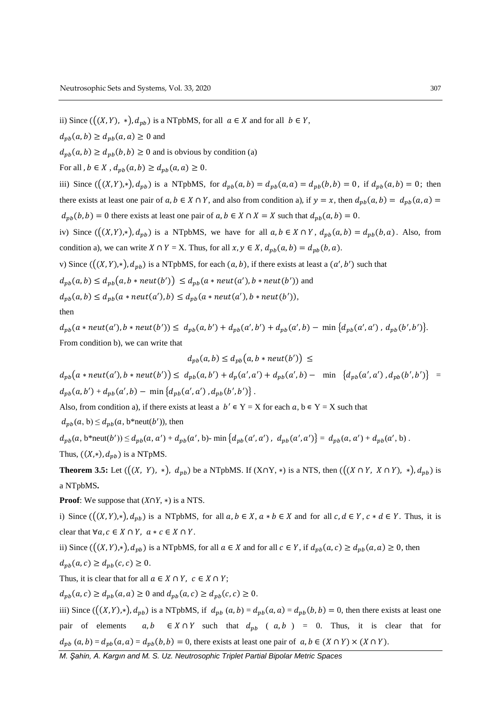ii) Since  $((X, Y), *,), d_{pb}$  is a NTpbMS, for all  $a \in X$  and for all  $b \in Y$ ,

 $d_{pb}(a, b) \geq d_{pb}(a, a) \geq 0$  and

 $d_{pb}(a, b) \geq d_{pb}(b, b) \geq 0$  and is obvious by condition (a)

For all  $, b \in X$ ,  $d_{pb}(a, b) \geq d_{pb}(a, a) \geq 0$ .

iii) Since  $(((X, Y), *,), d_{pb})$  is a NTpbMS, for  $d_{pb}(a, b) = d_{pb}(a, a) = d_{pb}(b, b) = 0$ , if  $d_{pb}(a, b) = 0$ ; then there exists at least one pair of  $a, b \in X \cap Y$ , and also from condition a), if  $y = x$ , then  $d_{pb}(a, b) = d_{pb}(a, a)$  $d_{pb}(b, b) = 0$  there exists at least one pair of  $a, b \in X \cap X = X$  such that  $d_{pb}(a, b) = 0$ .

iv) Since  $(((X, Y), *,), d_{pb})$  is a NTpbMS, we have for all  $a, b \in X \cap Y$ ,  $d_{pb}(a, b) = d_{pb}(b, a)$ . Also, from condition a), we can write  $X \cap Y = X$ . Thus, for all  $x, y \in X$ ,  $d_{pb}(a, b) = d_{pb}(b, a)$ .

v) Since  $((X, Y), *,), d_{nb})$  is a NTpbMS, for each  $(a, b)$ , if there exists at least a  $(a', b')$  such that

 $d_{pb}(a,b) \leq d_{pb}(a,b * neut(b')) \leq d_{pb}(a * neut(a'),b * neut(b'))$  and  $d_{pb}(a,b) \leq d_{pb}(a * neut(a'),b) \leq d_{pb}(a * neut(a'),b * neut(b')),$ then

 $d_{pb}(a * neut(a'), b * neut(b')) \leq d_{pb}(a, b') + d_{pb}(a', b') + d_{pb}(a', b) - \min\{d_{pb}(a', a'), d_{pb}(b', b')\}.$ From condition b), we can write that

$$
d_{pb}(a,b) \leq d_{pb}(a,b * neut(b')) \leq
$$

 $d_{pb}(a * neut(a'), b * neut(b')) \leq d_{pb}(a, b') + d_p(a', a') + d_{pb}(a', b) - \min \{d_{pb}(a', a'), d_{pb}(b', b')\}$  $d_{pb}(a, b') + d_{pb}(a', b) - \min \{ d_{pb}(a', a') , d_{pb}(b', b') \}.$ 

Also, from condition a), if there exists at least a  $b' \in Y = X$  for each  $a, b \in Y = X$  such that

 $d_{pb}(a, b) \leq d_{pb}(a, b^*neut(b'))$ , then

 $d_{pb}(a, b^* \text{neut}(b')) \leq d_{pb}(a, a') + d_{pb}(a', b) - \min \{ d_{pb}(a', a') , d_{pb}(a', a') \} = d_{pb}(a, a') + d_{pb}(a', b)$ . Thus,  $((X,*)$ ,  $d_{pb}$ ) is a NTpMS.

**Theorem 3.5:** Let  $((X, Y), *,), d_{pb})$  be a NTpbMS. If  $(X \cap Y, *)$  is a NTS, then  $((X \cap Y, X \cap Y), *,), d_{pb})$  is a NTpbMS**.**

**Proof:** We suppose that  $(X \cap Y, *)$  is a NTS.

i) Since  $((X, Y), *,), d_{pb}$  is a NTpbMS, for all  $a, b \in X$ ,  $a * b \in X$  and for all  $c, d \in Y$ ,  $c * d \in Y$ . Thus, it is clear that  $\forall a, c \in X \cap Y$ ,  $a * c \in X \cap Y$ .

ii) Since  $(((X, Y), *,), d_{pb})$  is a NTpbMS, for all  $a \in X$  and for all  $c \in Y$ , if  $d_{pb}(a, c) \geq d_{pb}(a, a) \geq 0$ , then  $d_{pb}(a, c) \geq d_{pb}(c, c) \geq 0.$ 

Thus, it is clear that for all  $a \in X \cap Y$ ,  $c \in X \cap Y$ ;

 $d_{nb}(a, c) \geq d_{nb}(a, a) \geq 0$  and  $d_{nb}(a, c) \geq d_{nb}(c, c) \geq 0$ .

iii) Since  $(((X, Y), *,), d_{pb})$  is a NTpbMS, if  $d_{pb}(a, b) = d_{pb}(a, a) = d_{pb}(b, b) = 0$ , then there exists at least one pair of elements  $a, b \in X \cap Y$  such that  $d_{p}$  ( $a, b$ ) = 0. Thus, it is clear that for  $d_{pb}(a, b) = d_{pb}(a, a) = d_{pb}(b, b) = 0$ , there exists at least one pair of  $a, b \in (X \cap Y) \times (X \cap Y)$ .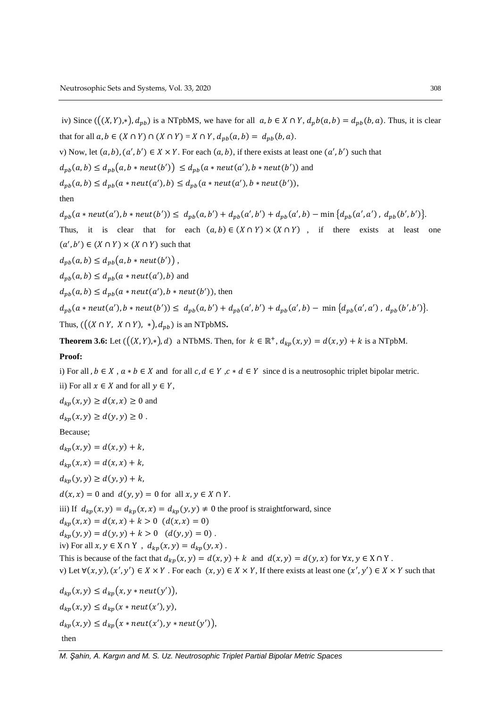iv) Since  $(((X, Y), *,), d_{pb})$  is a NTpbMS, we have for all  $a, b \in X \cap Y$ ,  $d_p b(a, b) = d_{pb}(b, a)$ . Thus, it is clear that for all  $a, b \in (X \cap Y) \cap (X \cap Y) = X \cap Y$ ,  $d_{pb}(a, b) = d_{pb}(b, a)$ .

v) Now, let  $(a, b), (a', b') \in X \times Y$ . For each  $(a, b)$ , if there exists at least one  $(a', b')$  such that

 $d_{pb}(a,b) \leq d_{pb}(a,b * neut(b')) \leq d_{pb}(a * neut(a'),b * neut(b'))$  and

 $d_{pb}(a, b) \leq d_{pb}(a * neut(a'), b) \leq d_{pb}(a * neut(a'), b * neut(b')),$ 

then

 $d_{pb}(a * neut(a'), b * neut(b')) \leq d_{pb}(a, b') + d_{pb}(a', b') + d_{pb}(a', b) - \min\{d_{pb}(a', a'), d_{pb}(b', b')\}.$ 

Thus, it is clear that for each  $(a, b) \in (X \cap Y) \times (X \cap Y)$ , if there exists at least one  $(a', b') \in (X \cap Y) \times (X \cap Y)$  such that

 $d_{pb}(a,b) \leq d_{pb}(a,b * neut(b'))$ ,

 $d_{pb}(a, b) \leq d_{pb}(a * neut(a'), b)$  and

 $d_{pb}(a, b) \leq d_{pb}(a * neut(a'), b * neut(b')),$  then

 $d_{pb}(a * neut(a'), b * neut(b')) \leq d_{pb}(a, b') + d_{pb}(a', b') + d_{pb}(a', b) - \min \{d_{pb}(a', a'), d_{pb}(b', b')\}.$ Thus,  $((X \cap Y, X \cap Y), *,), d_{pb})$  is an NTpbMS.

**Theorem 3.6:** Let  $((X, Y), *)$ , d) a NTbMS. Then, for  $k \in \mathbb{R}^+, d_{kp}(x, y) = d(x, y) + k$  is a NTpbM.

#### **Proof:**

i) For all ,  $b \in X$ ,  $a * b \in X$  and for all  $c, d \in Y$ ,  $c * d \in Y$  since d is a neutrosophic triplet bipolar metric. ii) For all  $x \in X$  and for all  $y \in Y$ ,

 $d_{kn}(x, y) \geq d(x, x) \geq 0$  and  $d_{kp}(x, y) \ge d(y, y) \ge 0$ . Because;  $d_{kn}(x, y) = d(x, y) + k,$  $d_{kn}(x, x) = d(x, x) + k,$  $d_{kn}(y, y) \geq d(y, y) + k$ ,  $d(x, x) = 0$  and  $d(y, y) = 0$  for all  $x, y \in X \cap Y$ . iii) If  $d_{kp}(x, y) = d_{kp}(x, x) = d_{kp}(y, y) \neq 0$  the proof is straightforward, since  $d_{kp}(x, x) = d(x, x) + k > 0$   $(d(x, x) = 0)$  $d_{kp}(y, y) = d(y, y) + k > 0$   $(d(y, y) = 0)$ . iv) For all  $x, y \in X \cap Y$ ,  $d_{kp}(x, y) = d_{kp}(y, x)$ . This is because of the fact that  $d_{kp}(x, y) = d(x, y) + k$  and  $d(x, y) = d(y, x)$  for  $\forall x, y \in X \cap Y$ . v) Let  $\forall (x, y), (x', y') \in X \times Y$ . For each  $(x, y) \in X \times Y$ , If there exists at least one  $(x', y') \in X \times Y$  such that  $d_{kp}(x, y) \leq d_{kp}(x, y * neut(y')),$  $d_{kp}(x, y) \leq d_{kp}(x * neut(x'), y),$  $d_{kp}(x, y) \leq d_{kp}(x * neut(x'), y * neut(y')),$ 

#### then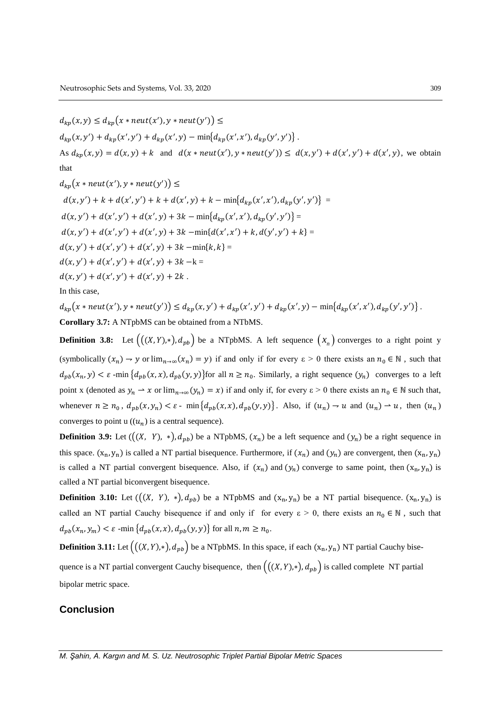$$
d_{kp}(x, y) \le d_{kp}(x * neut(x'), y * neut(y')) \le
$$
  
\n
$$
d_{kp}(x, y') + d_{kp}(x', y') + d_{kp}(x', y) - min\{d_{kp}(x', x'), d_{kp}(y', y')\}.
$$
  
\nAs  $d_{kp}(x, y) = d(x, y) + k$  and  $d(x * neut(x'), y * neut(y')) \le d(x, y') + d(x', y') + d(x', y)$ , we obtain  
\nthat

$$
d_{kp}(x * neut(x'), y * neut(y')) \le
$$
  
\n
$$
d(x, y') + k + d(x', y') + k + d(x', y) + k - min\{d_{kp}(x', x'), d_{kp}(y', y')\} =
$$
  
\n
$$
d(x, y') + d(x', y') + d(x', y) + 3k - min\{d_{kp}(x', x'), d_{kp}(y', y')\} =
$$
  
\n
$$
d(x, y') + d(x', y') + d(x', y) + 3k - min\{d(x', x') + k, d(y', y') + k\} =
$$
  
\n
$$
d(x, y') + d(x', y') + d(x', y) + 3k - min\{k, k\} =
$$
  
\n
$$
d(x, y') + d(x', y') + d(x', y) + 3k - k =
$$
  
\n
$$
d(x, y') + d(x', y') + d(x', y) + 2k.
$$
  
\nIn this case,

 $d_{kp}(x * neut(x'), y * neut(y')) \leq d_{kp}(x, y') + d_{kp}(x', y') + d_{kp}(x', y) - min{d_{kp}(x', x'), d_{kp}(y', y')}$ . **Corollary 3.7:** A NTpbMS can be obtained from a NTbMS.

**Definition 3.8:** Let  $((X, Y), *,), d_{pb})$  be a NTpbMS. A left sequence  $(x_n)$  converges to a right point y (symbolically  $(x_n) \to y$  or  $\lim_{n\to\infty} (x_n) = y$ ) if and only if for every  $\varepsilon > 0$  there exists an  $n_0 \in \mathbb{N}$ , such that  $d_{pb}(x_n, y) < \varepsilon$  -min  $\{d_{pb}(x, x), d_{pb}(y, y)\}$  for all  $n \ge n_0$ . Similarly, a right sequence  $(y_n)$  converges to a left point x (denoted as  $y_n \to x$  or  $\lim_{n\to\infty} (y_n) = x$ ) if and only if, for every  $\varepsilon > 0$  there exists an  $n_0 \in \mathbb{N}$  such that, whenever  $n \ge n_0$ ,  $d_{pb}(x, y_n) < \varepsilon$ - min $\{d_{pb}(x, x), d_{pb}(y, y)\}$ . Also, if  $(u_n) \to u$  and  $(u_n) \to u$ , then  $(u_n)$ converges to point u  $((u_n)$  is a central sequence).

**Definition 3.9:** Let  $((X, Y), *,), d_{pb})$  be a NTpbMS,  $(x_n)$  be a left sequence and  $(y_n)$  be a right sequence in this space.  $(x_n, y_n)$  is called a NT partial bisequence. Furthermore, if  $(x_n)$  and  $(y_n)$  are convergent, then  $(x_n, y_n)$ is called a NT partial convergent bisequence. Also, if  $(x_n)$  and  $(y_n)$  converge to same point, then  $(x_n, y_n)$  is called a NT partial biconvergent bisequence.

**Definition 3.10:** Let  $((X, Y), *,), d_{pb})$  be a NTpbMS and  $(x_n, y_n)$  be a NT partial bisequence.  $(x_n, y_n)$  is called an NT partial Cauchy bisequence if and only if for every  $\varepsilon > 0$ , there exists an  $n_0 \in \mathbb{N}$ , such that  $d_{pb}(x_n, y_m) < \varepsilon$  -min  $\{d_{pb}(x, x), d_{pb}(y, y)\}$  for all  $n, m \geq n_0$ .

**Definition 3.11:** Let  $((X, Y), *,), d_{pb})$  be a NTpbMS. In this space, if each  $(x_n, y_n)$  NT partial Cauchy bisequence is a NT partial convergent Cauchy bisequence, then  $((X, Y), *,)$ ,  $d_{pb}$  is called complete NT partial bipolar metric space.

## **Conclusion**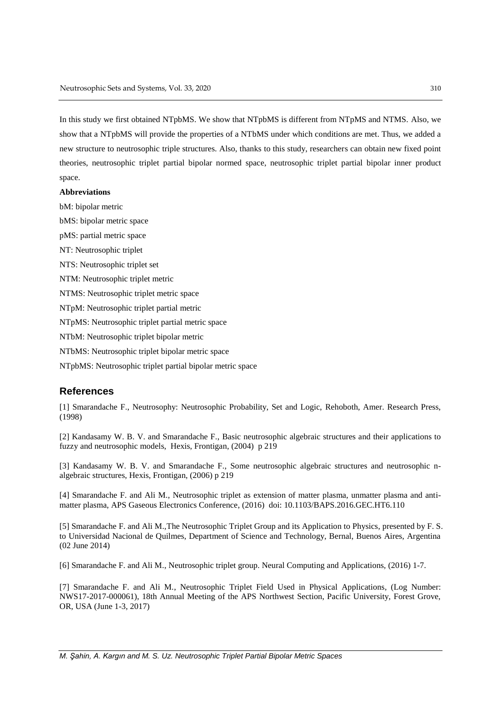In this study we first obtained NTpbMS. We show that NTpbMS is different from NTpMS and NTMS. Also, we show that a NTpbMS will provide the properties of a NTbMS under which conditions are met. Thus, we added a new structure to neutrosophic triple structures. Also, thanks to this study, researchers can obtain new fixed point theories, neutrosophic triplet partial bipolar normed space, neutrosophic triplet partial bipolar inner product space.

#### **Abbreviations**

bM: bipolar metric

bMS: bipolar metric space

pMS: partial metric space

NT: Neutrosophic triplet

NTS: Neutrosophic triplet set

NTM: Neutrosophic triplet metric

NTMS: Neutrosophic triplet metric space

NTpM: Neutrosophic triplet partial metric

NTpMS: Neutrosophic triplet partial metric space

NTbM: Neutrosophic triplet bipolar metric

NTbMS: Neutrosophic triplet bipolar metric space

NTpbMS: Neutrosophic triplet partial bipolar metric space

### **References**

[1] Smarandache F., Neutrosophy: Neutrosophic Probability, Set and Logic, Rehoboth, Amer. Research Press, (1998)

[2] Kandasamy W. B. V. and Smarandache F., Basic neutrosophic algebraic structures and their applications to fuzzy and neutrosophic models, Hexis, Frontigan, (2004) p 219

[3] Kandasamy W. B. V. and Smarandache F., Some neutrosophic algebraic structures and neutrosophic nalgebraic structures, Hexis, Frontigan, (2006) p 219

[4] Smarandache F. and Ali M., Neutrosophic triplet as extension of matter plasma, unmatter plasma and antimatter plasma, APS Gaseous Electronics Conference, (2016) doi: 10.1103/BAPS.2016.GEC.HT6.110

[5] Smarandache F. and Ali M.,The Neutrosophic Triplet Group and its Application to Physics, presented by F. S. to Universidad Nacional de Quilmes, Department of Science and Technology, Bernal, Buenos Aires, Argentina (02 June 2014)

[6] Smarandache F. and Ali M., Neutrosophic triplet group. Neural Computing and Applications, (2016) 1-7.

[7] Smarandache F. and Ali M., Neutrosophic Triplet Field Used in Physical Applications, (Log Number: NWS17-2017-000061), 18th Annual Meeting of the APS Northwest Section, Pacific University, Forest Grove, OR, USA (June 1-3, 2017)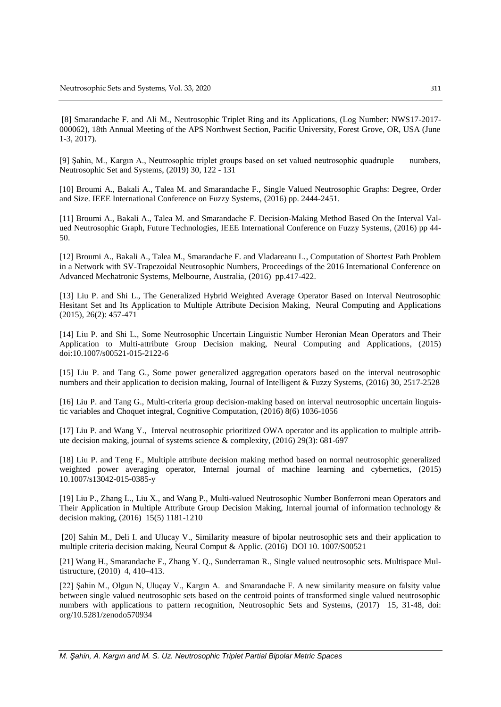[8] Smarandache F. and Ali M., Neutrosophic Triplet Ring and its Applications, (Log Number: NWS17-2017- 000062), 18th Annual Meeting of the APS Northwest Section, Pacific University, Forest Grove, OR, USA (June 1-3, 2017).

[9] Şahin, M., Kargın A., Neutrosophic triplet groups based on set valued neutrosophic quadruple numbers, Neutrosophic Set and Systems, (2019) 30, 122 - 131

[10] Broumi A., Bakali A., Talea M. and Smarandache F., Single Valued Neutrosophic Graphs: Degree, Order and Size. IEEE International Conference on Fuzzy Systems, (2016) pp. 2444-2451.

[11] Broumi A., Bakali A., Talea M. and Smarandache F. Decision-Making Method Based On the Interval Valued Neutrosophic Graph, Future Technologies, IEEE International Conference on Fuzzy Systems, (2016) pp 44- 50.

[12] Broumi A., Bakali A., Talea M., Smarandache F. and Vladareanu L., Computation of Shortest Path Problem in a Network with SV-Trapezoidal Neutrosophic Numbers, Proceedings of the 2016 International Conference on Advanced Mechatronic Systems, Melbourne, Australia, (2016) pp.417-422.

[13] [Liu](https://www.researchgate.net/profile/Peide_Liu3) P. and [Shi](https://www.researchgate.net/scientific-contributions/2068623407_Lanlan_Shi) L., The Generalized Hybrid Weighted Average Operator Based on Interval Neutrosophic Hesitant Set and Its Application to Multiple Attribute Decision Making, Neural Computing and Applications (2015), 26(2): 457-471

[14] [Liu](https://www.researchgate.net/profile/Peide_Liu3) P. and [Shi](https://www.researchgate.net/scientific-contributions/2068623407_Lanlan_Shi) L., Some Neutrosophic Uncertain Linguistic Number Heronian Mean Operators and Their Application to Multi-attribute Group Decision making, Neural Computing and Applications, (2015) doi:10.1007/s00521-015-2122-6

[15] [Liu](https://scholar.google.com.tr/citations?user=kB0nlC0AAAAJ&hl=tr&oi=sra) P. and Tang G., Some power generalized aggregation operators based on the interval neutrosophic numbers and their application to decision making, Journal of Intelligent & Fuzzy Systems, (2016) 30, 2517-2528

[16] [Liu](https://scholar.google.com.tr/citations?user=kB0nlC0AAAAJ&hl=tr&oi=sra) P. and Tang G., Multi-criteria group decision-making based on interval neutrosophic uncertain linguistic variables and Choquet integral, Cognitive Computation, (2016) 8(6) 1036-1056

[17] [Liu](https://www.researchgate.net/profile/Peide_Liu3) P. and Wang Y., Interval neutrosophic prioritized OWA operator and its application to multiple attribute decision making, journal of systems science & complexity, (2016) 29(3): 681-697

[18] [Liu](https://scholar.google.com.tr/citations?user=kB0nlC0AAAAJ&hl=tr&oi=sra) P. and Teng F., Multiple attribute decision making method based on normal neutrosophic generalized weighted power averaging operator, Internal journal of machine learning and cybernetics, (2015) 10.1007/s13042-015-0385-y

[19] [Liu](https://scholar.google.com.tr/citations?user=kB0nlC0AAAAJ&hl=tr&oi=sra) P., Zhang L., Liu X., and Wang P., Multi-valued Neutrosophic Number Bonferroni mean Operators and Their Application in Multiple Attribute Group Decision Making, Internal journal of information technology & decision making, (2016) 15(5) 1181-1210

[20] Sahin M., Deli I. and Ulucay V., Similarity measure of bipolar neutrosophic sets and their application to multiple criteria decision making, Neural Comput & Applic. (2016) DOI 10. 1007/S00521

[21] Wang H., Smarandache F., Zhang Y. Q., Sunderraman R., Single valued neutrosophic sets. Multispace Multistructure, (2010) 4, 410–413.

[22] Şahin M., Olgun N, Uluçay V., Kargın A. and Smarandache F. A new similarity measure on falsity value between single valued neutrosophic sets based on the centroid points of transformed single valued neutrosophic numbers with applications to pattern recognition, Neutrosophic Sets and Systems, (2017) 15, 31-48, doi: org/10.5281/zenodo570934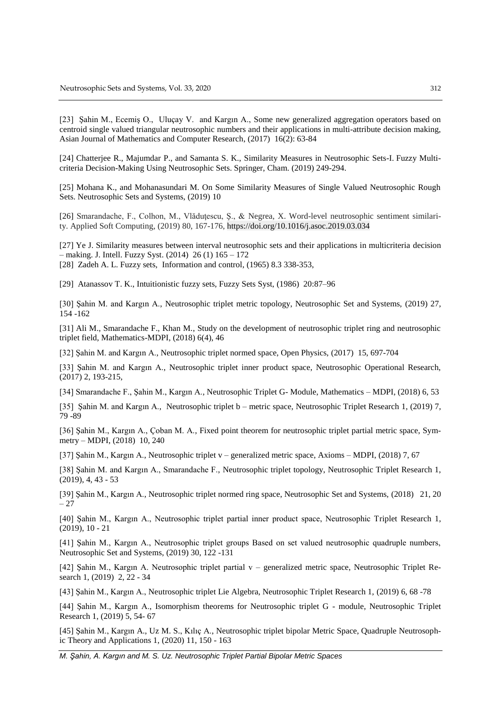[23] Şahin M., Ecemiş O., Uluçay V. and Kargın A., Some new generalized aggregation operators based on centroid single valued triangular neutrosophic numbers and their applications in multi-attribute decision making, Asian Journal of Mathematics and Computer Research, (2017) 16(2): 63-84

[24] Chatterjee R., Majumdar P., and Samanta S. K., Similarity Measures in Neutrosophic Sets-I. Fuzzy Multicriteria Decision-Making Using Neutrosophic Sets. Springer, Cham. (2019) 249-294.

[25] Mohana K., and Mohanasundari M. On Some Similarity Measures of Single Valued Neutrosophic Rough Sets. Neutrosophic Sets and Systems, (2019) 10

[26] Smarandache, F., Colhon, M., Vlăduţescu, Ş., & Negrea, X. Word-level neutrosophic sentiment similarity. Applied Soft Computing, (2019) 80, 167-176, https://doi.org/10.1016/j.asoc.2019.03.034

[27] Ye J. Similarity measures between interval neutrosophic sets and their applications in multicriteria decision – making. J. Intell. Fuzzy Syst. (2014) 26 (1) 165 – 172 [28] Zadeh A. L. Fuzzy sets, Information and control, (1965) 8.3 338-353,

[29] Atanassov T. K., Intuitionistic fuzzy sets, Fuzzy Sets Syst, (1986) 20:87–96

[30] Şahin M. and Kargın A., Neutrosophic triplet metric topology, Neutrosophic Set and Systems, (2019) 27, 154 -162

[31] Ali M., Smarandache F., Khan M., Study on the development of neutrosophic triplet ring and neutrosophic triplet field, Mathematics-MDPI, (2018) 6(4), 46

[32] Şahin M. and Kargın A., Neutrosophic triplet normed space, Open Physics, (2017) 15, 697-704

[33] Şahin M. and Kargın A., Neutrosophic triplet inner product space, Neutrosophic Operational Research, (2017) 2, 193-215,

[34] Smarandache F., Şahin M., Kargın A., Neutrosophic Triplet G- Module, Mathematics – MDPI, (2018) 6, 53

[35] Şahin M. and Kargın A., Neutrosophic triplet b – metric space, Neutrosophic Triplet Research 1, (2019) 7, 79 -89

[36] Şahin M., Kargın A., Çoban M. A., Fixed point theorem for neutrosophic triplet partial metric space, Symmetry – MDPI, (2018) 10, 240

[37] Şahin M., Kargın A., Neutrosophic triplet v – generalized metric space, Axioms – MDPI, (2018) 7, 67

[38] Şahin M. and Kargın A., Smarandache F., Neutrosophic triplet topology, Neutrosophic Triplet Research 1, (2019), 4, 43 - 53

[39] Şahin M., Kargın A., Neutrosophic triplet normed ring space, Neutrosophic Set and Systems, (2018) 21, 20 – 27

[40] Şahin M., Kargın A., Neutrosophic triplet partial inner product space, Neutrosophic Triplet Research 1, (2019), 10 - 21

[41] Şahin M., Kargın A., Neutrosophic triplet groups Based on set valued neutrosophic quadruple numbers, Neutrosophic Set and Systems, (2019) 30, 122 -131

[42] Şahin M., Kargın A. Neutrosophic triplet partial v – generalized metric space, Neutrosophic Triplet Research 1, (2019) 2, 22 - 34

[43] Şahin M., Kargın A., Neutrosophic triplet Lie Algebra, Neutrosophic Triplet Research 1, (2019) 6, 68 -78

[44] Şahin M., Kargın A., Isomorphism theorems for Neutrosophic triplet G - module, Neutrosophic Triplet Research 1, (2019) 5, 54- 67

[45] Şahin M., Kargın A., Uz M. S., Kılıç A., Neutrosophic triplet bipolar Metric Space, Quadruple Neutrosophic Theory and Applications 1, (2020) 11, 150 - 163